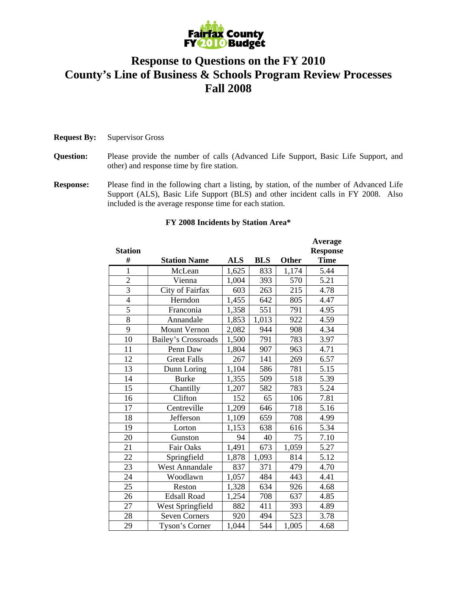

## **Response to Questions on the FY 2010 County's Line of Business & Schools Program Review Processes Fall 2008**

## **Request By:** Supervisor Gross

- **Question:** Please provide the number of calls (Advanced Life Support, Basic Life Support, and other) and response time by fire station.
- **Response:** Please find in the following chart a listing, by station, of the number of Advanced Life Support (ALS), Basic Life Support (BLS) and other incident calls in FY 2008. Also included is the average response time for each station.

|                |                            |            |            |       | Average         |
|----------------|----------------------------|------------|------------|-------|-----------------|
| <b>Station</b> |                            |            |            |       | <b>Response</b> |
| #              | <b>Station Name</b>        | <b>ALS</b> | <b>BLS</b> | Other | <b>Time</b>     |
| $\mathbf{1}$   | McLean                     | 1,625      | 833        | 1,174 | 5.44            |
| $\overline{c}$ | Vienna                     | 1,004      | 393        | 570   | 5.21            |
| $\overline{3}$ | City of Fairfax            | 603        | 263        | 215   | 4.78            |
| $\overline{4}$ | Herndon                    | 1,455      | 642        | 805   | 4.47            |
| 5              | Franconia                  | 1,358      | 551        | 791   | 4.95            |
| 8              | Annandale                  | 1,853      | 1,013      | 922   | 4.59            |
| 9              | <b>Mount Vernon</b>        | 2,082      | 944        | 908   | 4.34            |
| 10             | <b>Bailey's Crossroads</b> | 1,500      | 791        | 783   | 3.97            |
| 11             | Penn Daw                   | 1,804      | 907        | 963   | 4.71            |
| 12             | <b>Great Falls</b>         | 267        | 141        | 269   | 6.57            |
| 13             | Dunn Loring                | 1,104      | 586        | 781   | 5.15            |
| 14             | <b>Burke</b>               | 1,355      | 509        | 518   | 5.39            |
| 15             | Chantilly                  | 1,207      | 582        | 783   | 5.24            |
| 16             | Clifton                    | 152        | 65         | 106   | 7.81            |
| 17             | Centreville                | 1,209      | 646        | 718   | 5.16            |
| 18             | Jefferson                  | 1,109      | 659        | 708   | 4.99            |
| 19             | Lorton                     | 1,153      | 638        | 616   | 5.34            |
| 20             | Gunston                    | 94         | 40         | 75    | 7.10            |
| 21             | Fair Oaks                  | 1,491      | 673        | 1,059 | 5.27            |
| 22             | Springfield                | 1,878      | 1,093      | 814   | 5.12            |
| 23             | <b>West Annandale</b>      | 837        | 371        | 479   | 4.70            |
| 24             | Woodlawn                   | 1,057      | 484        | 443   | 4.41            |
| 25             | Reston                     | 1,328      | 634        | 926   | 4.68            |
| 26             | <b>Edsall Road</b>         | 1,254      | 708        | 637   | 4.85            |
| 27             | West Springfield           | 882        | 411        | 393   | 4.89            |
| 28             | <b>Seven Corners</b>       | 920        | 494        | 523   | 3.78            |
| 29             | Tyson's Corner             | 1,044      | 544        | 1,005 | 4.68            |

## **FY 2008 Incidents by Station Area\***